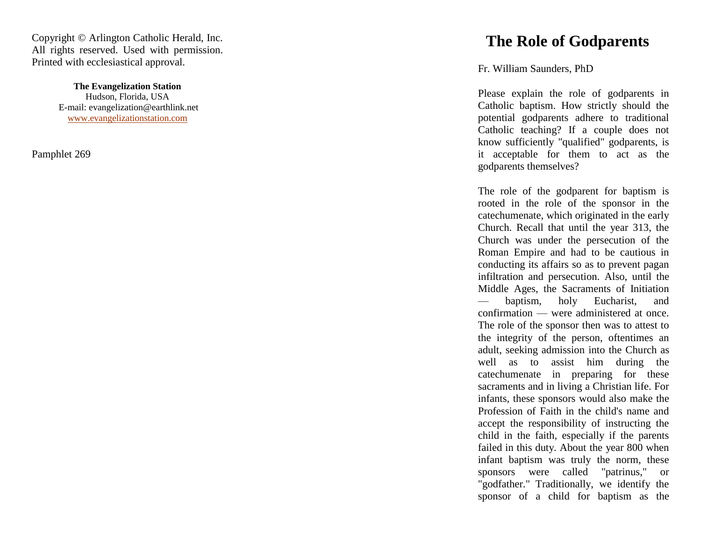Copyright © Arlington Catholic Herald, Inc. All rights reserved. Used with permission. Printed with ecclesiastical approval.

> **The Evangelization Station** Hudson, Florida, USA E -mail: evangelization@earthlink.net [www.evangelizationstation.com](http://www.pjpiisoe.org/)

Pamphlet 269

## **The Role of Godparents**

Fr. William Saunders, PhD

Please explain the role of godparents in Catholic baptism. How strictly should the potential godparents adhere to traditional Catholic teaching? If a couple does not know sufficiently "qualified" godparents, is it acceptable for them to act as the godparents themselves?

The role of the godparent for baptism is rooted in the role of the sponsor in the catechumenate, which originated in the early Church. Recall that until the year 313, the Church was under the persecution of the Roman Empire and had to be cautious in conducting its affairs so as to prevent pagan infiltration and persecution. Also, until the Middle Ages, the Sacraments of Initiation — baptism, holy Eucharist, and confirmation — were administered at once. The role of the sponsor then was to attest to the integrity of the person, oftentimes an adult, seeking admission into the Church as well as to assist him during the catechumenate in preparing for these sacraments and in living a Christian life. For infants, these sponsors would also make the Profession of Faith in the child's name and accept the responsibility of instructing the child in the faith, especially if the parents failed in this duty. About the year 800 when infant baptism was truly the norm, these sponsors were called "patrinus," or "godfather." Traditionally, we identify the sponsor of a child for baptism as the